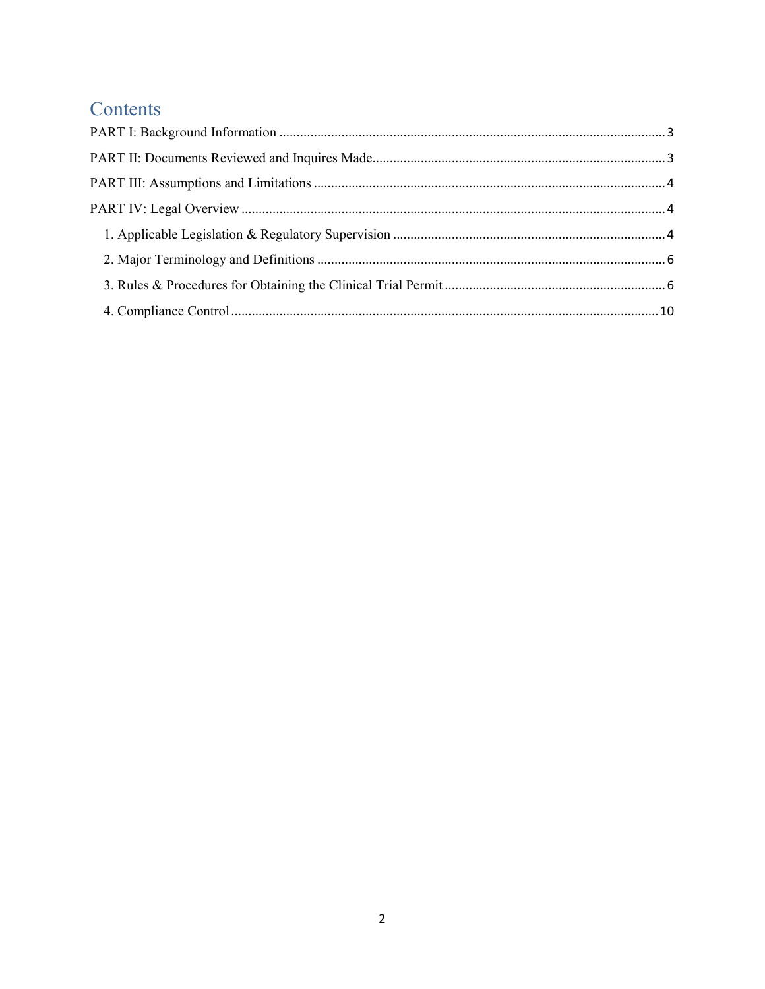# Contents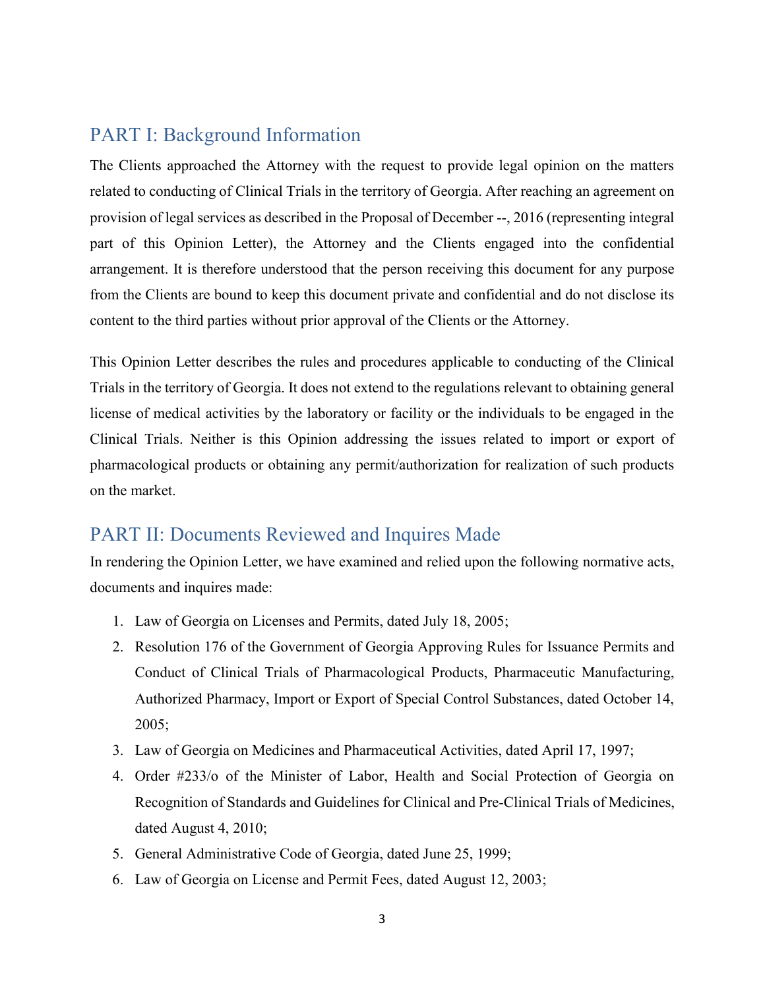## <span id="page-1-0"></span>PART I: Background Information

The Clients approached the Attorney with the request to provide legal opinion on the matters related to conducting of Clinical Trials in the territory of Georgia. After reaching an agreement on provision of legal services as described in the Proposal of December --, 2016 (representing integral part of this Opinion Letter), the Attorney and the Clients engaged into the confidential arrangement. It is therefore understood that the person receiving this document for any purpose from the Clients are bound to keep this document private and confidential and do not disclose its content to the third parties without prior approval of the Clients or the Attorney.

This Opinion Letter describes the rules and procedures applicable to conducting of the Clinical Trials in the territory of Georgia. It does not extend to the regulations relevant to obtaining general license of medical activities by the laboratory or facility or the individuals to be engaged in the Clinical Trials. Neither is this Opinion addressing the issues related to import or export of pharmacological products or obtaining any permit/authorization for realization of such products on the market.

### <span id="page-1-1"></span>PART II: Documents Reviewed and Inquires Made

In rendering the Opinion Letter, we have examined and relied upon the following normative acts, documents and inquires made:

- 1. Law of Georgia on Licenses and Permits, dated July 18, 2005;
- 2. Resolution 176 of the Government of Georgia Approving Rules for Issuance Permits and Conduct of Clinical Trials of Pharmacological Products, Pharmaceutic Manufacturing, Authorized Pharmacy, Import or Export of Special Control Substances, dated October 14, 2005;
- 3. Law of Georgia on Medicines and Pharmaceutical Activities, dated April 17, 1997;
- 4. Order #233/o of the Minister of Labor, Health and Social Protection of Georgia on Recognition of Standards and Guidelines for Clinical and Pre-Clinical Trials of Medicines, dated August 4, 2010;
- 5. General Administrative Code of Georgia, dated June 25, 1999;
- 6. Law of Georgia on License and Permit Fees, dated August 12, 2003;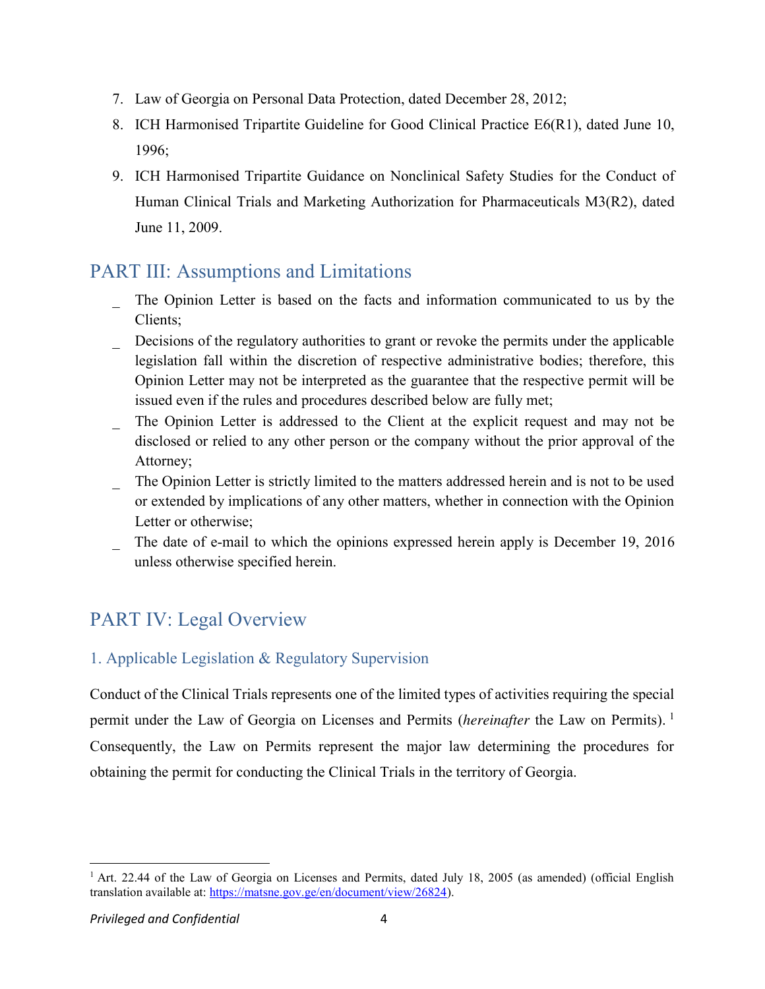- 7. Law of Georgia on Personal Data Protection, dated December 28, 2012;
- 8. ICH Harmonised Tripartite Guideline for Good Clinical Practice E6(R1), dated June 10, 1996;
- 9. ICH Harmonised Tripartite Guidance on Nonclinical Safety Studies for the Conduct of Human Clinical Trials and Marketing Authorization for Pharmaceuticals M3(R2), dated June 11, 2009.

## <span id="page-2-0"></span>PART III: Assumptions and Limitations

- The Opinion Letter is based on the facts and information communicated to us by the Clients;
- Decisions of the regulatory authorities to grant or revoke the permits under the applicable legislation fall within the discretion of respective administrative bodies; therefore, this Opinion Letter may not be interpreted as the guarantee that the respective permit will be issued even if the rules and procedures described below are fully met;
- The Opinion Letter is addressed to the Client at the explicit request and may not be disclosed or relied to any other person or the company without the prior approval of the Attorney;
- The Opinion Letter is strictly limited to the matters addressed herein and is not to be used or extended by implications of any other matters, whether in connection with the Opinion Letter or otherwise;
- The date of e-mail to which the opinions expressed herein apply is December 19, 2016 unless otherwise specified herein.

# <span id="page-2-1"></span>PART IV: Legal Overview

### <span id="page-2-2"></span>1. Applicable Legislation & Regulatory Supervision

Conduct of the Clinical Trials represents one of the limited types of activities requiring the special permit under the Law of Georgia on Licenses and Permits (*hereinafter* the Law on Permits). <sup>1</sup> Consequently, the Law on Permits represent the major law determining the procedures for obtaining the permit for conducting the Clinical Trials in the territory of Georgia.

<sup>&</sup>lt;sup>1</sup> Art. 22.44 of the Law of Georgia on Licenses and Permits, dated July 18, 2005 (as amended) (official English translation available at: [https://matsne.gov.ge/en/document/view/26824\)](https://matsne.gov.ge/en/document/view/26824).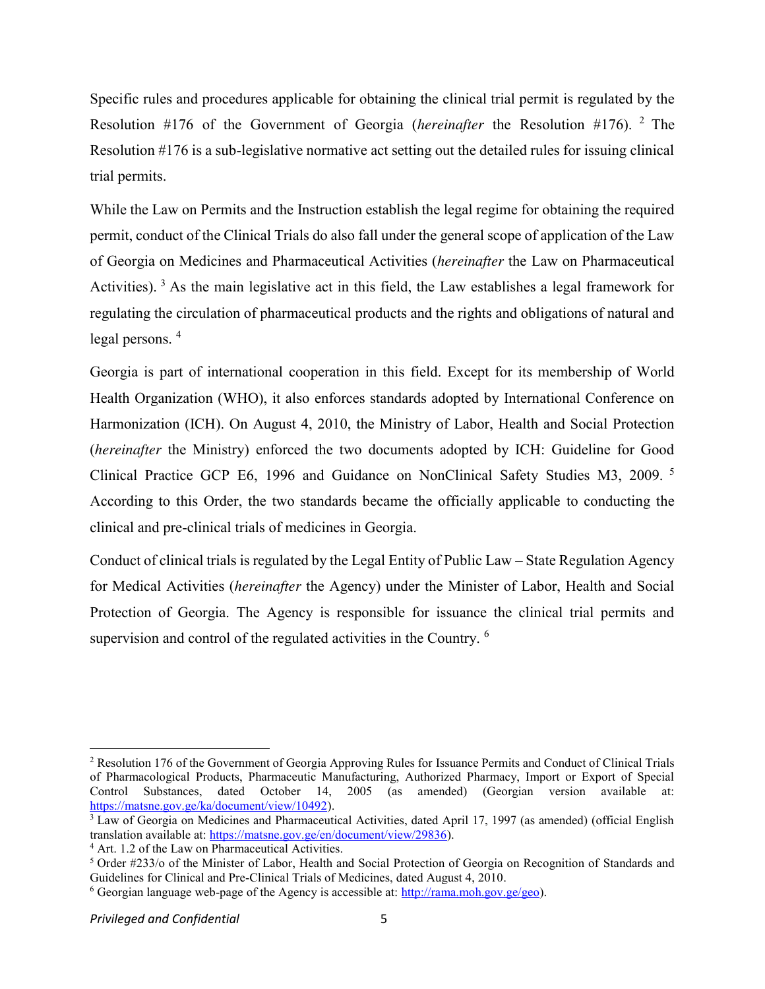Specific rules and procedures applicable for obtaining the clinical trial permit is regulated by the Resolution #176 of the Government of Georgia (*hereinafter* the Resolution #176). <sup>2</sup> The Resolution #176 is a sub-legislative normative act setting out the detailed rules for issuing clinical trial permits.

While the Law on Permits and the Instruction establish the legal regime for obtaining the required permit, conduct of the Clinical Trials do also fall under the general scope of application of the Law of Georgia on Medicines and Pharmaceutical Activities (*hereinafter* the Law on Pharmaceutical Activities). <sup>3</sup> As the main legislative act in this field, the Law establishes a legal framework for regulating the circulation of pharmaceutical products and the rights and obligations of natural and legal persons. <sup>4</sup>

Georgia is part of international cooperation in this field. Except for its membership of World Health Organization (WHO), it also enforces standards adopted by International Conference on Harmonization (ICH). On August 4, 2010, the Ministry of Labor, Health and Social Protection (*hereinafter* the Ministry) enforced the two documents adopted by ICH: Guideline for Good Clinical Practice GCP E6, 1996 and Guidance on NonClinical Safety Studies M3, 2009. <sup>5</sup> According to this Order, the two standards became the officially applicable to conducting the clinical and pre-clinical trials of medicines in Georgia.

Conduct of clinical trials is regulated by the Legal Entity of Public Law – State Regulation Agency for Medical Activities (*hereinafter* the Agency) under the Minister of Labor, Health and Social Protection of Georgia. The Agency is responsible for issuance the clinical trial permits and supervision and control of the regulated activities in the Country. <sup>6</sup>

<sup>&</sup>lt;sup>2</sup> Resolution 176 of the Government of Georgia Approving Rules for Issuance Permits and Conduct of Clinical Trials of Pharmacological Products, Pharmaceutic Manufacturing, Authorized Pharmacy, Import or Export of Special Control Substances, dated October 14, 2005 (as amended) (Georgian version available at: [https://matsne.gov.ge/ka/document/view/10492\)](https://matsne.gov.ge/ka/document/view/10492).

<sup>&</sup>lt;sup>3</sup> Law of Georgia on Medicines and Pharmaceutical Activities, dated April 17, 1997 (as amended) (official English translation available at: [https://matsne.gov.ge/en/document/view/29836\)](https://matsne.gov.ge/en/document/view/29836).

<sup>&</sup>lt;sup>4</sup> Art. 1.2 of the Law on Pharmaceutical Activities.

<sup>5</sup> Order #233/o of the Minister of Labor, Health and Social Protection of Georgia on Recognition of Standards and Guidelines for Clinical and Pre-Clinical Trials of Medicines, dated August 4, 2010.

<sup>&</sup>lt;sup>6</sup> Georgian language web-page of the Agency is accessible at:  $\frac{http://rama.moh.gov.ge/geo)}{http://rama.moh.gov.ge/geo)}$ .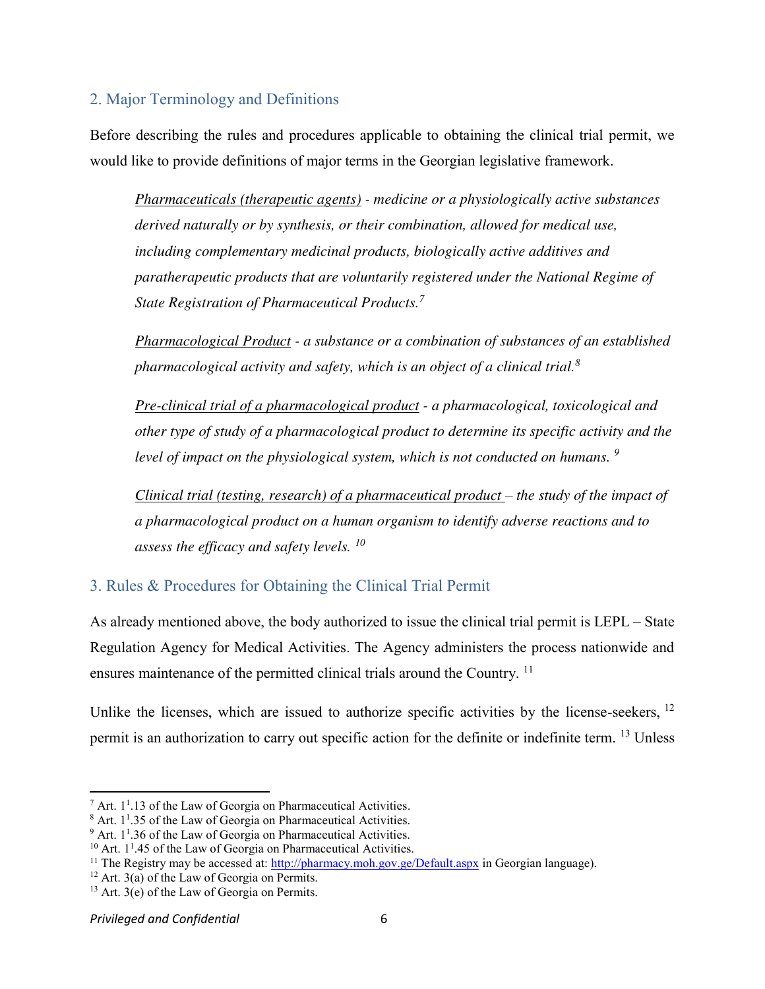#### <span id="page-4-0"></span>2. Major Terminology and Definitions

Before describing the rules and procedures applicable to obtaining the clinical trial permit, we would like to provide definitions of major terms in the Georgian legislative framework.

*Pharmaceuticals (therapeutic agents) - medicine or a physiologically active substances derived naturally or by synthesis, or their combination, allowed for medical use, including complementary medicinal products, biologically active additives and paratherapeutic products that are voluntarily registered under the National Regime of State Registration of Pharmaceutical Products.<sup>7</sup>*

*Pharmacological Product - a substance or a combination of substances of an established pharmacological activity and safety, which is an object of a clinical trial.<sup>8</sup>*

*Pre-clinical trial of a pharmacological product - a pharmacological, toxicological and other type of study of a pharmacological product to determine its specific activity and the level of impact on the physiological system, which is not conducted on humans. <sup>9</sup>*

*Clinical trial (testing, research) of a pharmaceutical product – the study of the impact of a pharmacological product on a human organism to identify adverse reactions and to assess the efficacy and safety levels. <sup>10</sup>*

### <span id="page-4-1"></span>3. Rules & Procedures for Obtaining the Clinical Trial Permit

As already mentioned above, the body authorized to issue the clinical trial permit is LEPL – State Regulation Agency for Medical Activities. The Agency administers the process nationwide and ensures maintenance of the permitted clinical trials around the Country.<sup>11</sup>

Unlike the licenses, which are issued to authorize specific activities by the license-seekers.<sup>12</sup> permit is an authorization to carry out specific action for the definite or indefinite term. <sup>13</sup> Unless

 $^7$  Art. 1<sup>1</sup>.13 of the Law of Georgia on Pharmaceutical Activities.

 $8$  Art.  $1<sup>1</sup>$ .35 of the Law of Georgia on Pharmaceutical Activities.

 $9$  Art. 1<sup>1</sup>.36 of the Law of Georgia on Pharmaceutical Activities.

 $10$  Art. 1<sup>1</sup>.45 of the Law of Georgia on Pharmaceutical Activities.

<sup>&</sup>lt;sup>11</sup> The Registry may be accessed at:<http://pharmacy.moh.gov.ge/Default.aspx>in Georgian language).

 $12$  Art. 3(a) of the Law of Georgia on Permits.

 $13$  Art. 3(e) of the Law of Georgia on Permits.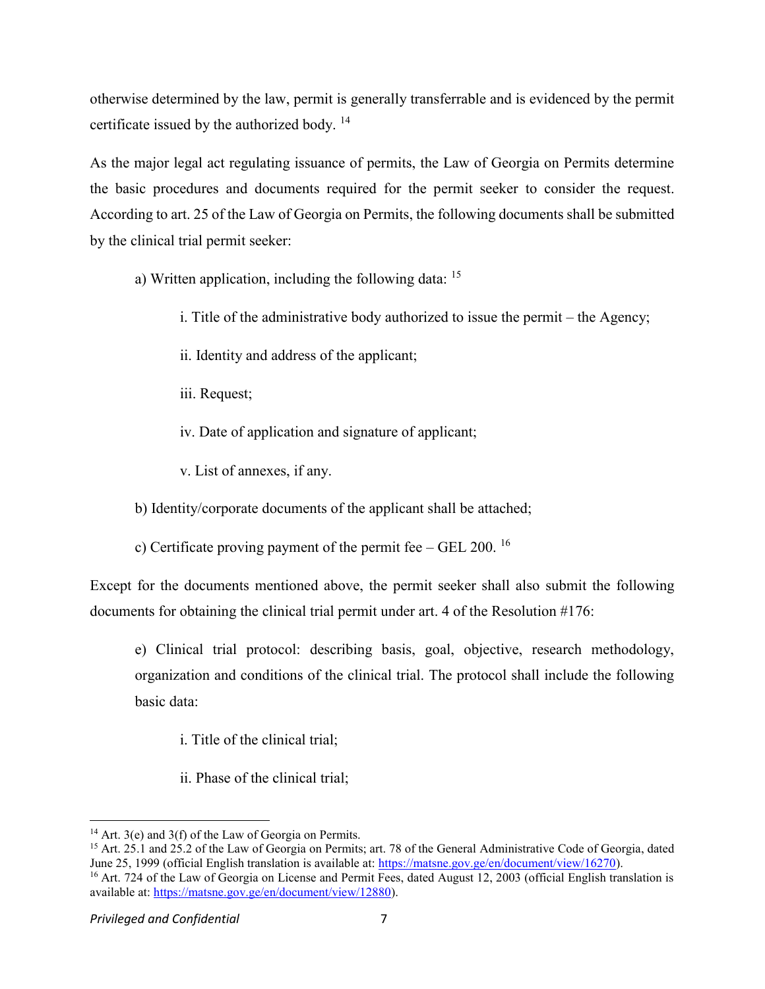otherwise determined by the law, permit is generally transferrable and is evidenced by the permit certificate issued by the authorized body.<sup>14</sup>

As the major legal act regulating issuance of permits, the Law of Georgia on Permits determine the basic procedures and documents required for the permit seeker to consider the request. According to art. 25 of the Law of Georgia on Permits, the following documents shall be submitted by the clinical trial permit seeker:

a) Written application, including the following data:  $15$ 

- i. Title of the administrative body authorized to issue the permit the Agency;
- ii. Identity and address of the applicant;
- iii. Request;
- iv. Date of application and signature of applicant;
- v. List of annexes, if any.

b) Identity/corporate documents of the applicant shall be attached;

c) Certificate proving payment of the permit fee – GEL 200.  $^{16}$ 

Except for the documents mentioned above, the permit seeker shall also submit the following documents for obtaining the clinical trial permit under art. 4 of the Resolution #176:

e) Clinical trial protocol: describing basis, goal, objective, research methodology, organization and conditions of the clinical trial. The protocol shall include the following basic data:

- i. Title of the clinical trial;
- ii. Phase of the clinical trial;

available at: [https://matsne.gov.ge/en/document/view/12880\)](https://matsne.gov.ge/en/document/view/12880).

 $\overline{a}$ 

<sup>&</sup>lt;sup>14</sup> Art. 3(e) and 3(f) of the Law of Georgia on Permits.

<sup>&</sup>lt;sup>15</sup> Art. 25.1 and 25.2 of the Law of Georgia on Permits; art. 78 of the General Administrative Code of Georgia, dated June 25, 1999 (official English translation is available at: [https://matsne.gov.ge/en/document/view/16270\)](https://matsne.gov.ge/en/document/view/16270). <sup>16</sup> Art. 724 of the Law of Georgia on License and Permit Fees, dated August 12, 2003 (official English translation is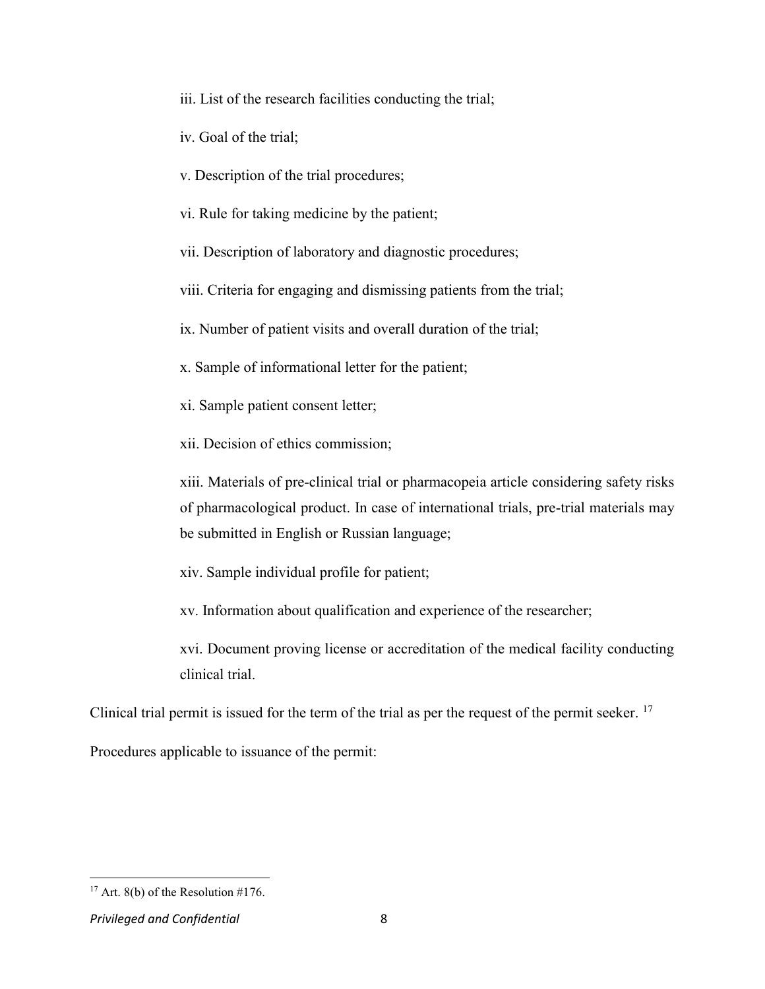iii. List of the research facilities conducting the trial;

iv. Goal of the trial;

v. Description of the trial procedures;

vi. Rule for taking medicine by the patient;

vii. Description of laboratory and diagnostic procedures;

viii. Criteria for engaging and dismissing patients from the trial;

ix. Number of patient visits and overall duration of the trial;

x. Sample of informational letter for the patient;

xi. Sample patient consent letter;

xii. Decision of ethics commission;

xiii. Materials of pre-clinical trial or pharmacopeia article considering safety risks of pharmacological product. In case of international trials, pre-trial materials may be submitted in English or Russian language;

xiv. Sample individual profile for patient;

xv. Information about qualification and experience of the researcher;

xvi. Document proving license or accreditation of the medical facility conducting clinical trial.

Clinical trial permit is issued for the term of the trial as per the request of the permit seeker.  $17$ 

Procedures applicable to issuance of the permit:

<sup>&</sup>lt;sup>17</sup> Art. 8(b) of the Resolution  $\#176$ .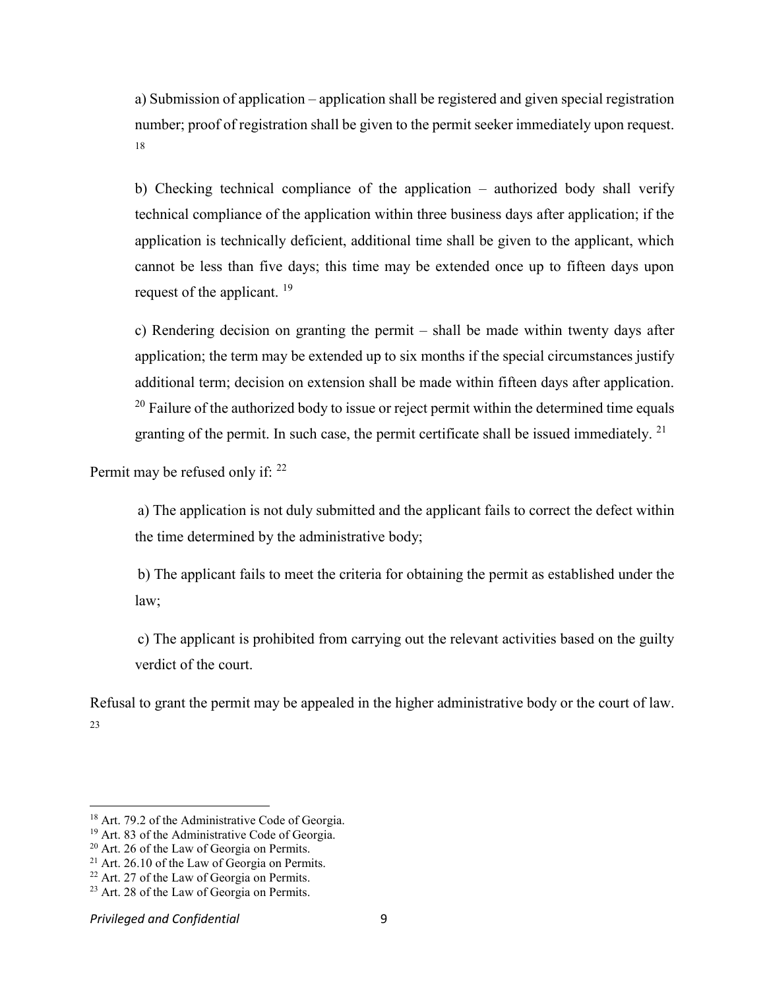a) Submission of application – application shall be registered and given special registration number; proof of registration shall be given to the permit seeker immediately upon request. 18

b) Checking technical compliance of the application – authorized body shall verify technical compliance of the application within three business days after application; if the application is technically deficient, additional time shall be given to the applicant, which cannot be less than five days; this time may be extended once up to fifteen days upon request of the applicant.  $^{19}$ 

c) Rendering decision on granting the permit – shall be made within twenty days after application; the term may be extended up to six months if the special circumstances justify additional term; decision on extension shall be made within fifteen days after application.  $20$  Failure of the authorized body to issue or reject permit within the determined time equals granting of the permit. In such case, the permit certificate shall be issued immediately.  $2<sup>1</sup>$ 

Permit may be refused only if: <sup>22</sup>

a) The application is not duly submitted and the applicant fails to correct the defect within the time determined by the administrative body;

b) The applicant fails to meet the criteria for obtaining the permit as established under the law;

c) The applicant is prohibited from carrying out the relevant activities based on the guilty verdict of the court.

Refusal to grant the permit may be appealed in the higher administrative body or the court of law. 23

 $\overline{a}$ 

<sup>&</sup>lt;sup>18</sup> Art. 79.2 of the Administrative Code of Georgia.

<sup>&</sup>lt;sup>19</sup> Art. 83 of the Administrative Code of Georgia.

<sup>20</sup> Art. 26 of the Law of Georgia on Permits.

<sup>&</sup>lt;sup>21</sup> Art. 26.10 of the Law of Georgia on Permits.

<sup>&</sup>lt;sup>22</sup> Art. 27 of the Law of Georgia on Permits.

<sup>&</sup>lt;sup>23</sup> Art. 28 of the Law of Georgia on Permits.